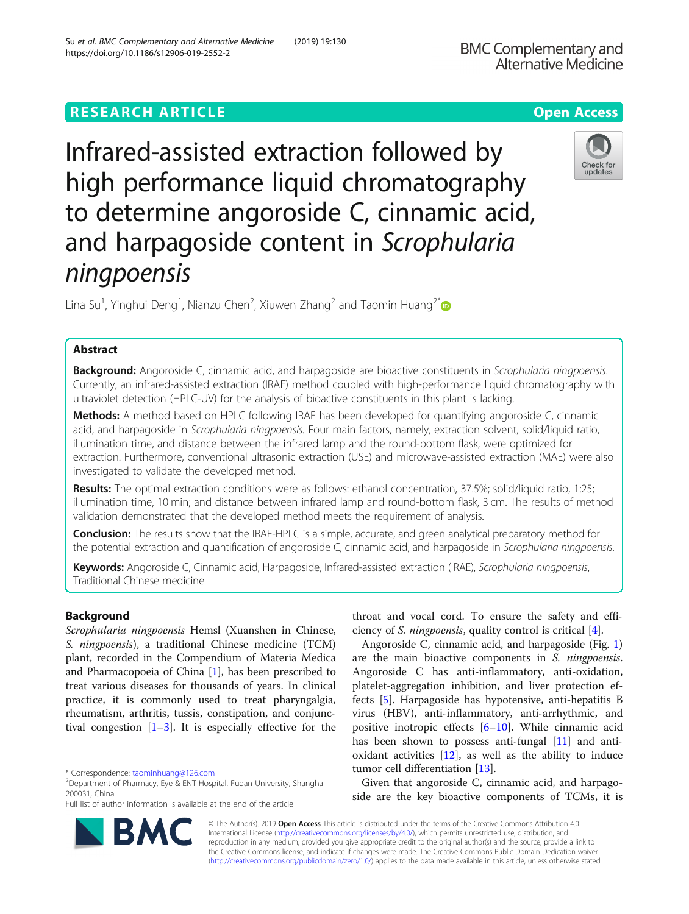# **RESEARCH ARTICLE Example 2014 12:30 The Contract of Contract ACCESS**

Infrared-assisted extraction followed by high performance liquid chromatography to determine angoroside C, cinnamic acid, and harpagoside content in Scrophularia ningpoensis

Lina Su<sup>1</sup>, Yinghui Deng<sup>1</sup>, Nianzu Chen<sup>2</sup>, Xiuwen Zhang<sup>2</sup> and Taomin Huang<sup>2[\\*](http://orcid.org/0000-0003-4185-7732)</sup>

# Abstract

Background: Angoroside C, cinnamic acid, and harpagoside are bioactive constituents in Scrophularia ningpoensis. Currently, an infrared-assisted extraction (IRAE) method coupled with high-performance liquid chromatography with ultraviolet detection (HPLC-UV) for the analysis of bioactive constituents in this plant is lacking.

Methods: A method based on HPLC following IRAE has been developed for quantifying angoroside C, cinnamic acid, and harpagoside in Scrophularia ningpoensis. Four main factors, namely, extraction solvent, solid/liquid ratio, illumination time, and distance between the infrared lamp and the round-bottom flask, were optimized for extraction. Furthermore, conventional ultrasonic extraction (USE) and microwave-assisted extraction (MAE) were also investigated to validate the developed method.

Results: The optimal extraction conditions were as follows: ethanol concentration, 37.5%; solid/liquid ratio, 1:25; illumination time, 10 min; and distance between infrared lamp and round-bottom flask, 3 cm. The results of method validation demonstrated that the developed method meets the requirement of analysis.

Conclusion: The results show that the IRAE-HPLC is a simple, accurate, and green analytical preparatory method for the potential extraction and quantification of angoroside C, cinnamic acid, and harpagoside in Scrophularia ningpoensis.

Keywords: Angoroside C, Cinnamic acid, Harpagoside, Infrared-assisted extraction (IRAE), Scrophularia ningpoensis, Traditional Chinese medicine

# Background

Scrophularia ningpoensis Hemsl (Xuanshen in Chinese, S. ningpoensis), a traditional Chinese medicine (TCM) plant, recorded in the Compendium of Materia Medica and Pharmacopoeia of China [\[1](#page-6-0)], has been prescribed to treat various diseases for thousands of years. In clinical practice, it is commonly used to treat pharyngalgia, rheumatism, arthritis, tussis, constipation, and conjunctival congestion  $[1-3]$  $[1-3]$  $[1-3]$  $[1-3]$ . It is especially effective for the

\* Correspondence: [taominhuang@126.com](mailto:taominhuang@126.com) <sup>2</sup>

Full list of author information is available at the end of the article

throat and vocal cord. To ensure the safety and efficiency of S. ningpoensis, quality control is critical [[4\]](#page-6-0).

Angoroside C, cinnamic acid, and harpagoside (Fig. [1](#page-1-0)) are the main bioactive components in S. ningpoensis. Angoroside C has anti-inflammatory, anti-oxidation, platelet-aggregation inhibition, and liver protection effects [\[5](#page-6-0)]. Harpagoside has hypotensive, anti-hepatitis B virus (HBV), anti-inflammatory, anti-arrhythmic, and positive inotropic effects [\[6](#page-6-0)–[10\]](#page-6-0). While cinnamic acid has been shown to possess anti-fungal [\[11\]](#page-6-0) and antioxidant activities [[12\]](#page-6-0), as well as the ability to induce tumor cell differentiation [[13\]](#page-6-0).

Given that angoroside C, cinnamic acid, and harpagoside are the key bioactive components of TCMs, it is

© The Author(s). 2019 **Open Access** This article is distributed under the terms of the Creative Commons Attribution 4.0 International License [\(http://creativecommons.org/licenses/by/4.0/](http://creativecommons.org/licenses/by/4.0/)), which permits unrestricted use, distribution, and reproduction in any medium, provided you give appropriate credit to the original author(s) and the source, provide a link to the Creative Commons license, and indicate if changes were made. The Creative Commons Public Domain Dedication waiver [\(http://creativecommons.org/publicdomain/zero/1.0/](http://creativecommons.org/publicdomain/zero/1.0/)) applies to the data made available in this article, unless otherwise stated.







 $2$ Department of Pharmacy, Eye & ENT Hospital, Fudan University, Shanghai 200031, China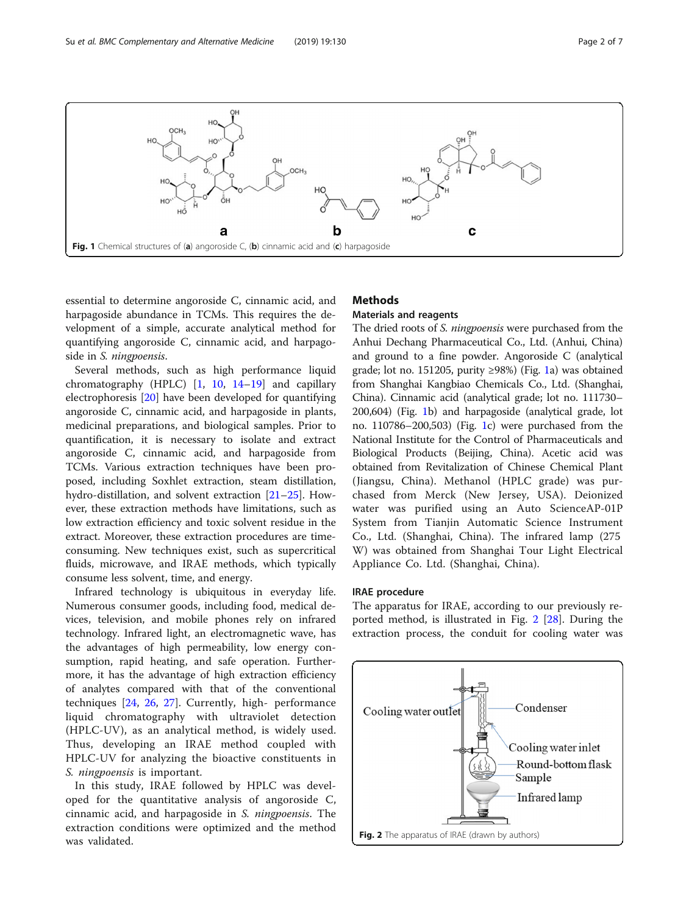

<span id="page-1-0"></span>

essential to determine angoroside C, cinnamic acid, and harpagoside abundance in TCMs. This requires the development of a simple, accurate analytical method for quantifying angoroside C, cinnamic acid, and harpagoside in *S. ningpoensis*.

Several methods, such as high performance liquid chromatography (HPLC) [\[1](#page-6-0), [10,](#page-6-0) [14](#page-6-0)–[19\]](#page-6-0) and capillary electrophoresis [[20\]](#page-6-0) have been developed for quantifying angoroside C, cinnamic acid, and harpagoside in plants, medicinal preparations, and biological samples. Prior to quantification, it is necessary to isolate and extract angoroside C, cinnamic acid, and harpagoside from TCMs. Various extraction techniques have been proposed, including Soxhlet extraction, steam distillation, hydro-distillation, and solvent extraction [[21](#page-6-0)–[25](#page-6-0)]. However, these extraction methods have limitations, such as low extraction efficiency and toxic solvent residue in the extract. Moreover, these extraction procedures are timeconsuming. New techniques exist, such as supercritical fluids, microwave, and IRAE methods, which typically consume less solvent, time, and energy.

Infrared technology is ubiquitous in everyday life. Numerous consumer goods, including food, medical devices, television, and mobile phones rely on infrared technology. Infrared light, an electromagnetic wave, has the advantages of high permeability, low energy consumption, rapid heating, and safe operation. Furthermore, it has the advantage of high extraction efficiency of analytes compared with that of the conventional techniques [\[24](#page-6-0), [26,](#page-6-0) [27](#page-6-0)]. Currently, high- performance liquid chromatography with ultraviolet detection (HPLC-UV), as an analytical method, is widely used. Thus, developing an IRAE method coupled with HPLC-UV for analyzing the bioactive constituents in S. ningpoensis is important.

In this study, IRAE followed by HPLC was developed for the quantitative analysis of angoroside C, cinnamic acid, and harpagoside in S. ningpoensis. The extraction conditions were optimized and the method was validated.

# **Methods**

# Materials and reagents

The dried roots of S. ningpoensis were purchased from the Anhui Dechang Pharmaceutical Co., Ltd. (Anhui, China) and ground to a fine powder. Angoroside C (analytical grade; lot no. 151205, purity ≥98%) (Fig. 1a) was obtained from Shanghai Kangbiao Chemicals Co., Ltd. (Shanghai, China). Cinnamic acid (analytical grade; lot no. 111730– 200,604) (Fig. 1b) and harpagoside (analytical grade, lot no. 110786–200,503) (Fig. 1c) were purchased from the National Institute for the Control of Pharmaceuticals and Biological Products (Beijing, China). Acetic acid was obtained from Revitalization of Chinese Chemical Plant (Jiangsu, China). Methanol (HPLC grade) was purchased from Merck (New Jersey, USA). Deionized water was purified using an Auto ScienceAP-01P System from Tianjin Automatic Science Instrument Co., Ltd. (Shanghai, China). The infrared lamp (275 W) was obtained from Shanghai Tour Light Electrical Appliance Co. Ltd. (Shanghai, China).

### IRAE procedure

The apparatus for IRAE, according to our previously reported method, is illustrated in Fig. 2 [\[28\]](#page-6-0). During the extraction process, the conduit for cooling water was

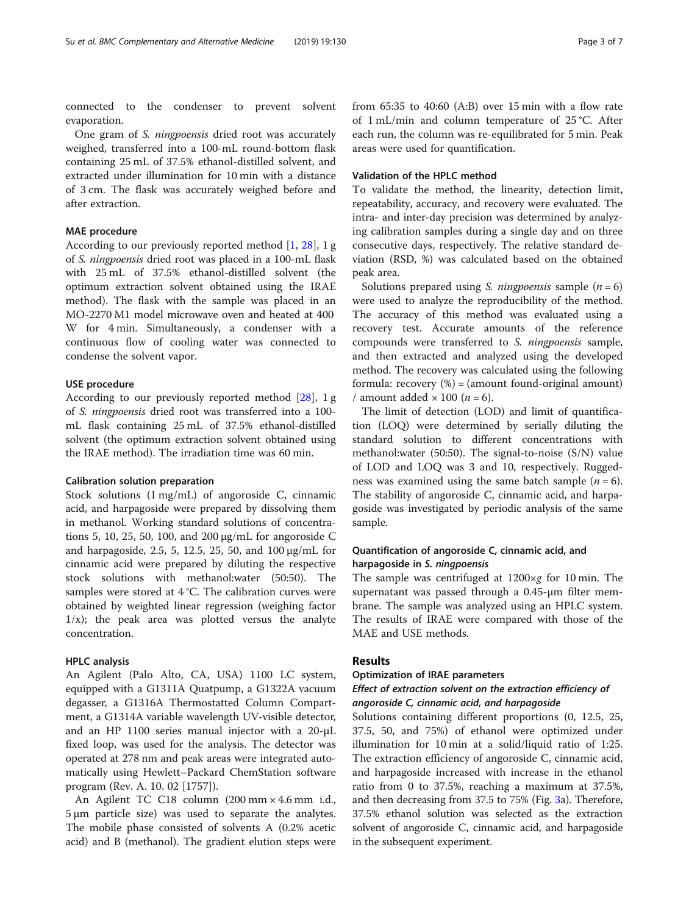connected to the condenser to prevent solvent evaporation.

One gram of S. ningpoensis dried root was accurately weighed, transferred into a 100-mL round-bottom flask containing 25 mL of 37.5% ethanol-distilled solvent, and extracted under illumination for 10 min with a distance of 3 cm. The flask was accurately weighed before and after extraction.

### MAE procedure

According to our previously reported method [[1,](#page-6-0) [28\]](#page-6-0), 1 g of S. ningpoensis dried root was placed in a 100-mL flask with 25 mL of 37.5% ethanol-distilled solvent (the optimum extraction solvent obtained using the IRAE method). The flask with the sample was placed in an MO-2270 M1 model microwave oven and heated at 400 W for 4 min. Simultaneously, a condenser with a continuous flow of cooling water was connected to condense the solvent vapor.

### USE procedure

According to our previously reported method [\[28](#page-6-0)], 1 g of S. ningpoensis dried root was transferred into a 100 mL flask containing 25 mL of 37.5% ethanol-distilled solvent (the optimum extraction solvent obtained using the IRAE method). The irradiation time was 60 min.

#### Calibration solution preparation

Stock solutions (1 mg/mL) of angoroside C, cinnamic acid, and harpagoside were prepared by dissolving them in methanol. Working standard solutions of concentrations 5, 10, 25, 50, 100, and 200 μg/mL for angoroside C and harpagoside, 2.5, 5, 12.5, 25, 50, and 100 μg/mL for cinnamic acid were prepared by diluting the respective stock solutions with methanol:water (50:50). The samples were stored at 4 °C. The calibration curves were obtained by weighted linear regression (weighing factor  $1/x$ ); the peak area was plotted versus the analyte concentration.

### HPLC analysis

An Agilent (Palo Alto, CA, USA) 1100 LC system, equipped with a G1311A Quatpump, a G1322A vacuum degasser, a G1316A Thermostatted Column Compartment, a G1314A variable wavelength UV-visible detector, and an HP 1100 series manual injector with a 20-μL fixed loop, was used for the analysis. The detector was operated at 278 nm and peak areas were integrated automatically using Hewlett–Packard ChemStation software program (Rev. A. 10. 02 [1757]).

An Agilent TC C18 column (200 mm × 4.6 mm i.d., 5 μm particle size) was used to separate the analytes. The mobile phase consisted of solvents A (0.2% acetic acid) and B (methanol). The gradient elution steps were

from 65:35 to 40:60 (A:B) over 15 min with a flow rate of 1 mL/min and column temperature of 25 °C. After each run, the column was re-equilibrated for 5 min. Peak areas were used for quantification.

### Validation of the HPLC method

To validate the method, the linearity, detection limit, repeatability, accuracy, and recovery were evaluated. The intra- and inter-day precision was determined by analyzing calibration samples during a single day and on three consecutive days, respectively. The relative standard deviation (RSD, %) was calculated based on the obtained peak area.

Solutions prepared using S. *ningpoensis* sample  $(n = 6)$ were used to analyze the reproducibility of the method. The accuracy of this method was evaluated using a recovery test. Accurate amounts of the reference compounds were transferred to S. ningpoensis sample, and then extracted and analyzed using the developed method. The recovery was calculated using the following formula: recovery  $(\%)$  = (amount found-original amount) / amount added  $\times$  100 ( $n = 6$ ).

The limit of detection (LOD) and limit of quantification (LOQ) were determined by serially diluting the standard solution to different concentrations with methanol:water (50:50). The signal-to-noise (S/N) value of LOD and LOQ was 3 and 10, respectively. Ruggedness was examined using the same batch sample  $(n = 6)$ . The stability of angoroside C, cinnamic acid, and harpagoside was investigated by periodic analysis of the same sample.

### Quantification of angoroside C, cinnamic acid, and harpagoside in S. ningpoensis

The sample was centrifuged at  $1200 \times g$  for 10 min. The supernatant was passed through a 0.45-μm filter membrane. The sample was analyzed using an HPLC system. The results of IRAE were compared with those of the MAE and USE methods.

### Results

### Optimization of IRAE parameters

### Effect of extraction solvent on the extraction efficiency of angoroside C, cinnamic acid, and harpagoside

Solutions containing different proportions (0, 12.5, 25, 37.5, 50, and 75%) of ethanol were optimized under illumination for 10 min at a solid/liquid ratio of 1:25. The extraction efficiency of angoroside C, cinnamic acid, and harpagoside increased with increase in the ethanol ratio from 0 to 37.5%, reaching a maximum at 37.5%, and then decreasing from 37.5 to 75% (Fig. [3a](#page-3-0)). Therefore, 37.5% ethanol solution was selected as the extraction solvent of angoroside C, cinnamic acid, and harpagoside in the subsequent experiment.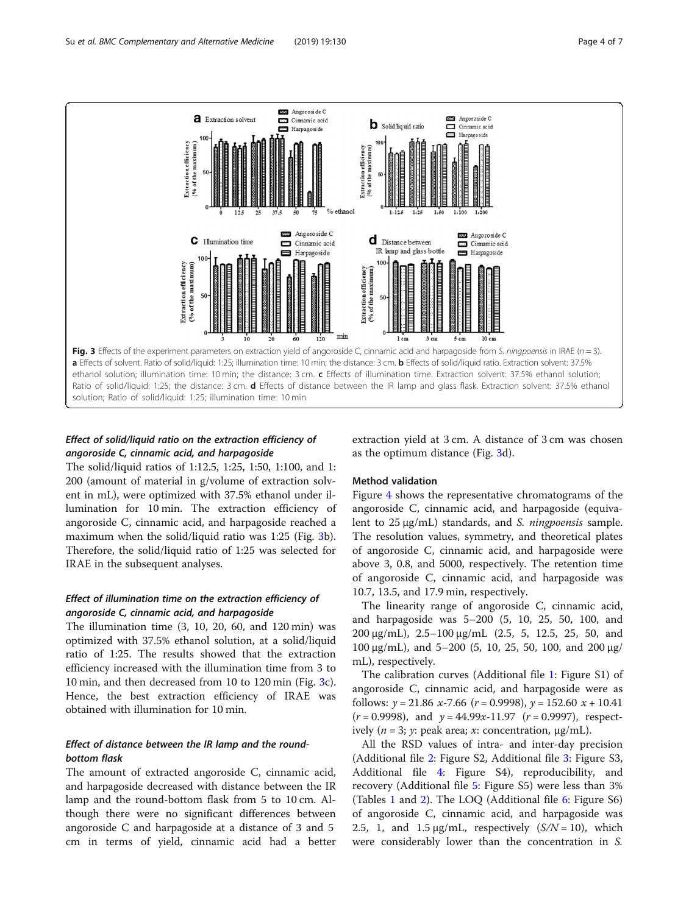<span id="page-3-0"></span>

# Effect of solid/liquid ratio on the extraction efficiency of angoroside C, cinnamic acid, and harpagoside

The solid/liquid ratios of 1:12.5, 1:25, 1:50, 1:100, and 1: 200 (amount of material in g/volume of extraction solvent in mL), were optimized with 37.5% ethanol under illumination for 10 min. The extraction efficiency of angoroside C, cinnamic acid, and harpagoside reached a maximum when the solid/liquid ratio was 1:25 (Fig. 3b). Therefore, the solid/liquid ratio of 1:25 was selected for IRAE in the subsequent analyses.

### Effect of illumination time on the extraction efficiency of angoroside C, cinnamic acid, and harpagoside

The illumination time (3, 10, 20, 60, and 120 min) was optimized with 37.5% ethanol solution, at a solid/liquid ratio of 1:25. The results showed that the extraction efficiency increased with the illumination time from 3 to 10 min, and then decreased from 10 to 120 min (Fig. 3c). Hence, the best extraction efficiency of IRAE was obtained with illumination for 10 min.

# Effect of distance between the IR lamp and the roundbottom flask

The amount of extracted angoroside C, cinnamic acid, and harpagoside decreased with distance between the IR lamp and the round-bottom flask from 5 to 10 cm. Although there were no significant differences between angoroside C and harpagoside at a distance of 3 and 5 cm in terms of yield, cinnamic acid had a better

extraction yield at 3 cm. A distance of 3 cm was chosen as the optimum distance (Fig. 3d).

### Method validation

Figure [4](#page-4-0) shows the representative chromatograms of the angoroside C, cinnamic acid, and harpagoside (equivalent to 25 <sup>μ</sup>g/mL) standards, and S. ningpoensis sample. The resolution values, symmetry, and theoretical plates of angoroside C, cinnamic acid, and harpagoside were above 3, 0.8, and 5000, respectively. The retention time of angoroside C, cinnamic acid, and harpagoside was 10.7, 13.5, and 17.9 min, respectively.

The linearity range of angoroside C, cinnamic acid, and harpagoside was 5–200 (5, 10, 25, 50, 100, and 200 μg/mL), 2.5–100 μg/mL (2.5, 5, 12.5, 25, 50, and 100 μg/mL), and 5-200 (5, 10, 25, 50, 100, and 200 μg/ mL), respectively.

The calibration curves (Additional file [1](#page-5-0): Figure S1) of angoroside C, cinnamic acid, and harpagoside were as follows:  $y = 21.86 \, x - 7.66 \, (r = 0.9998), y = 152.60 \, x + 10.41$  $(r = 0.9998)$ , and  $y = 44.99x-11.97$   $(r = 0.9997)$ , respectively (*n* = 3; *γ*: peak area; *x*: concentration,  $\mu$ g/mL).

All the RSD values of intra- and inter-day precision (Additional file [2:](#page-5-0) Figure S2, Additional file [3:](#page-5-0) Figure S3, Additional file [4:](#page-5-0) Figure S4), reproducibility, and recovery (Additional file [5](#page-5-0): Figure S5) were less than 3% (Tables [1](#page-4-0) and [2\)](#page-5-0). The LOQ (Additional file  $6$ : Figure S6) of angoroside C, cinnamic acid, and harpagoside was 2.5, 1, and 1.5  $\mu$ g/mL, respectively (S/N = 10), which were considerably lower than the concentration in S.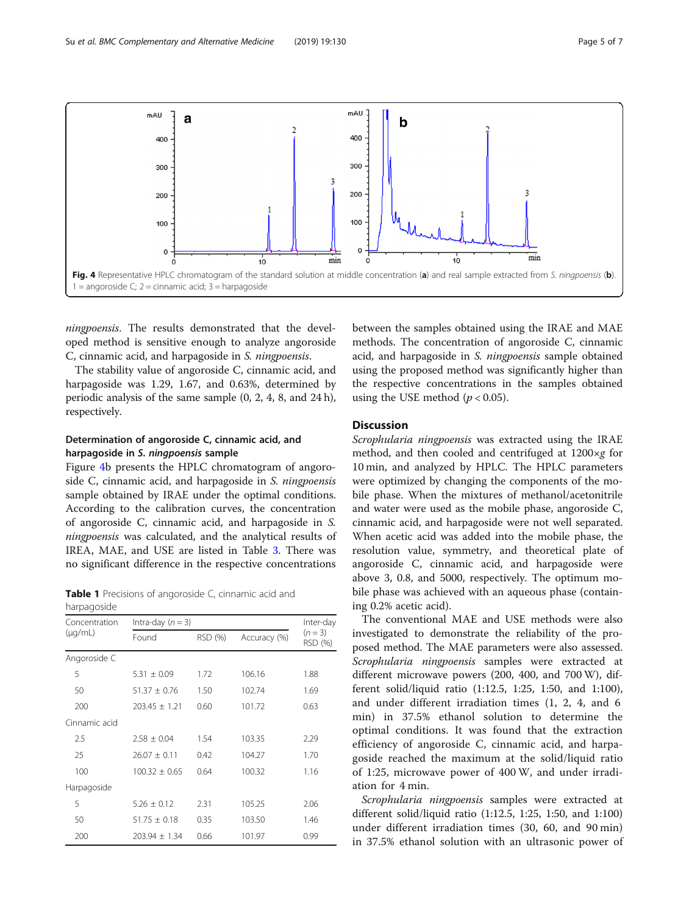<span id="page-4-0"></span>

ningpoensis. The results demonstrated that the developed method is sensitive enough to analyze angoroside C, cinnamic acid, and harpagoside in S. ningpoensis.

The stability value of angoroside C, cinnamic acid, and harpagoside was 1.29, 1.67, and 0.63%, determined by periodic analysis of the same sample (0, 2, 4, 8, and 24 h), respectively.

### Determination of angoroside C, cinnamic acid, and harpagoside in S. ningpoensis sample

Figure 4b presents the HPLC chromatogram of angoroside C, cinnamic acid, and harpagoside in S. *ningpoensis* sample obtained by IRAE under the optimal conditions. According to the calibration curves, the concentration of angoroside C, cinnamic acid, and harpagoside in S. ningpoensis was calculated, and the analytical results of IREA, MAE, and USE are listed in Table [3.](#page-5-0) There was no significant difference in the respective concentrations

Table 1 Precisions of angoroside C, cinnamic acid and harpagoside

| Concentration | Intra-day $(n = 3)$ | Inter-day               |        |                    |  |
|---------------|---------------------|-------------------------|--------|--------------------|--|
| $(\mu q/mL)$  | Found               | RSD (%)<br>Accuracy (%) |        | $(n=3)$<br>RSD (%) |  |
| Angoroside C  |                     |                         |        |                    |  |
| 5             | $5.31 \pm 0.09$     | 1.72                    | 106.16 | 1.88               |  |
| 50            | $51.37 \pm 0.76$    | 1.50                    | 102.74 | 1.69               |  |
| 200           | $203.45 \pm 1.21$   | 0.60                    | 101.72 | 0.63               |  |
| Cinnamic acid |                     |                         |        |                    |  |
| 2.5           | $2.58 + 0.04$       | 1.54                    | 103.35 | 2.29               |  |
| 25            | $26.07 \pm 0.11$    | 0.42                    | 104.27 | 1.70               |  |
| 100           | $100.32 \pm 0.65$   | 0.64                    | 100.32 | 1.16               |  |
| Harpagoside   |                     |                         |        |                    |  |
| 5             | $5.26 \pm 0.12$     | 2.31                    | 105.25 | 2.06               |  |
| 50            | $51.75 \pm 0.18$    | 0.35                    | 103.50 | 1.46               |  |
| 200           | $203.94 \pm 1.34$   | 0.66                    | 101.97 | 0.99               |  |

between the samples obtained using the IRAE and MAE methods. The concentration of angoroside C, cinnamic acid, and harpagoside in S. ningpoensis sample obtained using the proposed method was significantly higher than the respective concentrations in the samples obtained using the USE method  $(p < 0.05)$ .

### Discussion

Scrophularia ningpoensis was extracted using the IRAE method, and then cooled and centrifuged at  $1200 \times g$  for 10 min, and analyzed by HPLC. The HPLC parameters were optimized by changing the components of the mobile phase. When the mixtures of methanol/acetonitrile and water were used as the mobile phase, angoroside C, cinnamic acid, and harpagoside were not well separated. When acetic acid was added into the mobile phase, the resolution value, symmetry, and theoretical plate of angoroside C, cinnamic acid, and harpagoside were above 3, 0.8, and 5000, respectively. The optimum mobile phase was achieved with an aqueous phase (containing 0.2% acetic acid).

The conventional MAE and USE methods were also investigated to demonstrate the reliability of the proposed method. The MAE parameters were also assessed. Scrophularia ningpoensis samples were extracted at different microwave powers (200, 400, and 700 W), different solid/liquid ratio (1:12.5, 1:25, 1:50, and 1:100), and under different irradiation times (1, 2, 4, and 6 min) in 37.5% ethanol solution to determine the optimal conditions. It was found that the extraction efficiency of angoroside C, cinnamic acid, and harpagoside reached the maximum at the solid/liquid ratio of 1:25, microwave power of 400 W, and under irradiation for 4 min.

Scrophularia ningpoensis samples were extracted at different solid/liquid ratio (1:12.5, 1:25, 1:50, and 1:100) under different irradiation times (30, 60, and 90 min) in 37.5% ethanol solution with an ultrasonic power of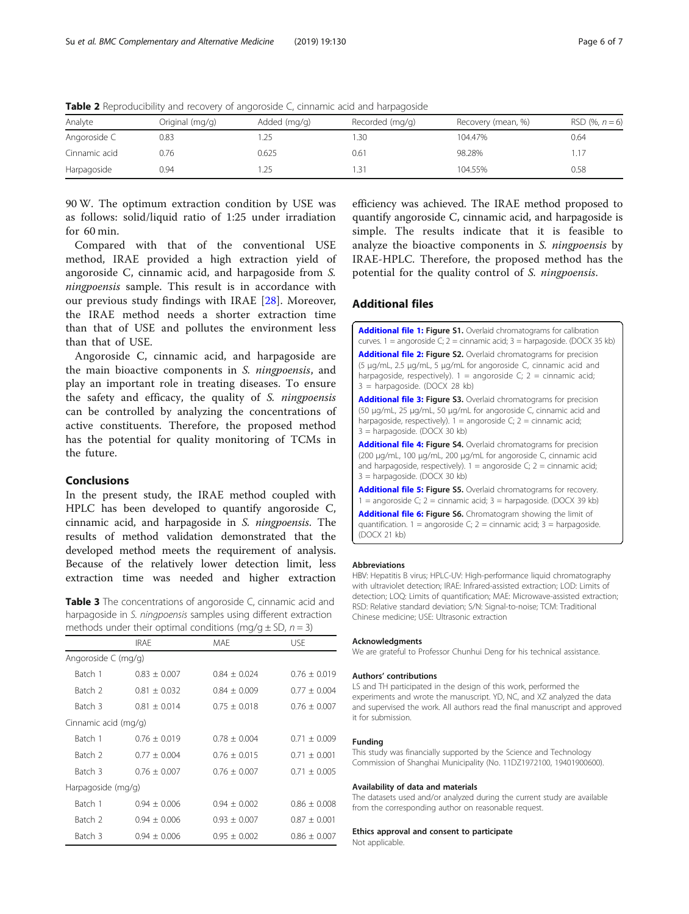| Analyte       | Original (mg/g) | Added (mg/g) | Recorded (mg/g) | Recovery (mean, %) | RSD (%, $n = 6$ ) |
|---------------|-----------------|--------------|-----------------|--------------------|-------------------|
| Angoroside C  | 0.83            |              | .30             | 104.47%            | 0.64              |
| Cinnamic acid | 0.76            | 0.625        | 0.61            | 98.28%             |                   |
| Harpagoside   | 0.94            |              | .31             | 104.55%            | 0.58              |

<span id="page-5-0"></span>**Table 2** Reproducibility and recovery of angoroside C, cinnamic acid and harpagoside

90 W. The optimum extraction condition by USE was as follows: solid/liquid ratio of 1:25 under irradiation for 60 min.

Compared with that of the conventional USE method, IRAE provided a high extraction yield of angoroside C, cinnamic acid, and harpagoside from S. ningpoensis sample. This result is in accordance with our previous study findings with IRAE [[28](#page-6-0)]. Moreover, the IRAE method needs a shorter extraction time than that of USE and pollutes the environment less than that of USE.

Angoroside C, cinnamic acid, and harpagoside are the main bioactive components in S. ningpoensis, and play an important role in treating diseases. To ensure the safety and efficacy, the quality of S. ningpoensis can be controlled by analyzing the concentrations of active constituents. Therefore, the proposed method has the potential for quality monitoring of TCMs in the future.

### Conclusions

In the present study, the IRAE method coupled with HPLC has been developed to quantify angoroside C, cinnamic acid, and harpagoside in S. ningpoensis. The results of method validation demonstrated that the developed method meets the requirement of analysis. Because of the relatively lower detection limit, less extraction time was needed and higher extraction

Table 3 The concentrations of angoroside C, cinnamic acid and harpagoside in S. ningpoensis samples using different extraction methods under their optimal conditions (mg/g + SD,  $n = 3$ )

|                      | <b>IRAE</b>      | <b>MAE</b>       | <b>USE</b>       |
|----------------------|------------------|------------------|------------------|
| Angoroside C (mg/g)  |                  |                  |                  |
| Batch 1              | $0.83 \pm 0.007$ | $0.84 + 0.024$   | $0.76 + 0.019$   |
| Batch 2              | $0.81 \pm 0.032$ | $0.84 + 0.009$   | $0.77 + 0.004$   |
| Batch 3              | $0.81 + 0.014$   | $0.75 \pm 0.018$ | $0.76 + 0.007$   |
| Cinnamic acid (mg/g) |                  |                  |                  |
| Batch 1              | $0.76 + 0.019$   | $0.78 + 0.004$   | $0.71 + 0.009$   |
| Batch 2              | $0.77 \pm 0.004$ | $0.76 \pm 0.015$ | $0.71 \pm 0.001$ |
| Batch 3              | $0.76 \pm 0.007$ | $0.76 \pm 0.007$ | $0.71 \pm 0.005$ |
| Harpagoside (mg/g)   |                  |                  |                  |
| Batch 1              | $0.94 + 0.006$   | $0.94 + 0.002$   | $0.86 + 0.008$   |
| Batch 2              | $0.94 + 0.006$   | $0.93 + 0.007$   | $0.87 + 0.001$   |
| Batch 3              | $0.94 + 0.006$   | $0.95 + 0.002$   | $0.86 + 0.007$   |
|                      |                  |                  |                  |

efficiency was achieved. The IRAE method proposed to quantify angoroside C, cinnamic acid, and harpagoside is simple. The results indicate that it is feasible to analyze the bioactive components in S. ningpoensis by IRAE-HPLC. Therefore, the proposed method has the potential for the quality control of S. ningpoensis.

# Additional files

[Additional file 1:](https://doi.org/10.1186/s12906-019-2552-2) Figure S1. Overlaid chromatograms for calibration curves. 1 = angoroside C; 2 = cinnamic acid; 3 = harpagoside. (DOCX 35 kb) [Additional file 2:](https://doi.org/10.1186/s12906-019-2552-2) Figure S2. Overlaid chromatograms for precision

(5 μg/mL, 2.5 μg/mL, 5 μg/mL for angoroside C, cinnamic acid and harpagoside, respectively).  $1 =$  angoroside C;  $2 =$  cinnamic acid; 3 = harpagoside. (DOCX 28 kb)

[Additional file 3:](https://doi.org/10.1186/s12906-019-2552-2) Figure S3. Overlaid chromatograms for precision (50 μg/mL, 25 μg/mL, 50 μg/mL for angoroside C, cinnamic acid and harpagoside, respectively).  $1 =$  angoroside C;  $2 =$  cinnamic acid; 3 = harpagoside. (DOCX 30 kb)

[Additional file 4:](https://doi.org/10.1186/s12906-019-2552-2) Figure S4. Overlaid chromatograms for precision (200 μg/mL, 100 μg/mL, 200 μg/mL for angoroside C, cinnamic acid and harpagoside, respectively).  $1 =$  angoroside C;  $2 =$  cinnamic acid; 3 = harpagoside. (DOCX 30 kb)

[Additional file 5:](https://doi.org/10.1186/s12906-019-2552-2) Figure S5. Overlaid chromatograms for recovery.  $1 =$  angoroside C;  $2 =$  cinnamic acid;  $3 =$  harpagoside. (DOCX 39 kb)

[Additional file 6:](https://doi.org/10.1186/s12906-019-2552-2) Figure S6. Chromatogram showing the limit of quantification.  $1 =$  angoroside C;  $2 =$  cinnamic acid;  $3 =$  harpagoside. (DOCX 21 kb)

#### Abbreviations

HBV: Hepatitis B virus; HPLC-UV: High-performance liquid chromatography with ultraviolet detection; IRAE: Infrared-assisted extraction; LOD: Limits of detection; LOQ: Limits of quantification; MAE: Microwave-assisted extraction; RSD: Relative standard deviation; S/N: Signal-to-noise; TCM: Traditional Chinese medicine; USE: Ultrasonic extraction

#### Acknowledgments

We are grateful to Professor Chunhui Deng for his technical assistance.

#### Authors' contributions

LS and TH participated in the design of this work, performed the experiments and wrote the manuscript. YD, NC, and XZ analyzed the data and supervised the work. All authors read the final manuscript and approved it for submission.

#### Funding

This study was financially supported by the Science and Technology Commission of Shanghai Municipality (No. 11DZ1972100, 19401900600).

#### Availability of data and materials

The datasets used and/or analyzed during the current study are available from the corresponding author on reasonable request.

#### Ethics approval and consent to participate

Not applicable.